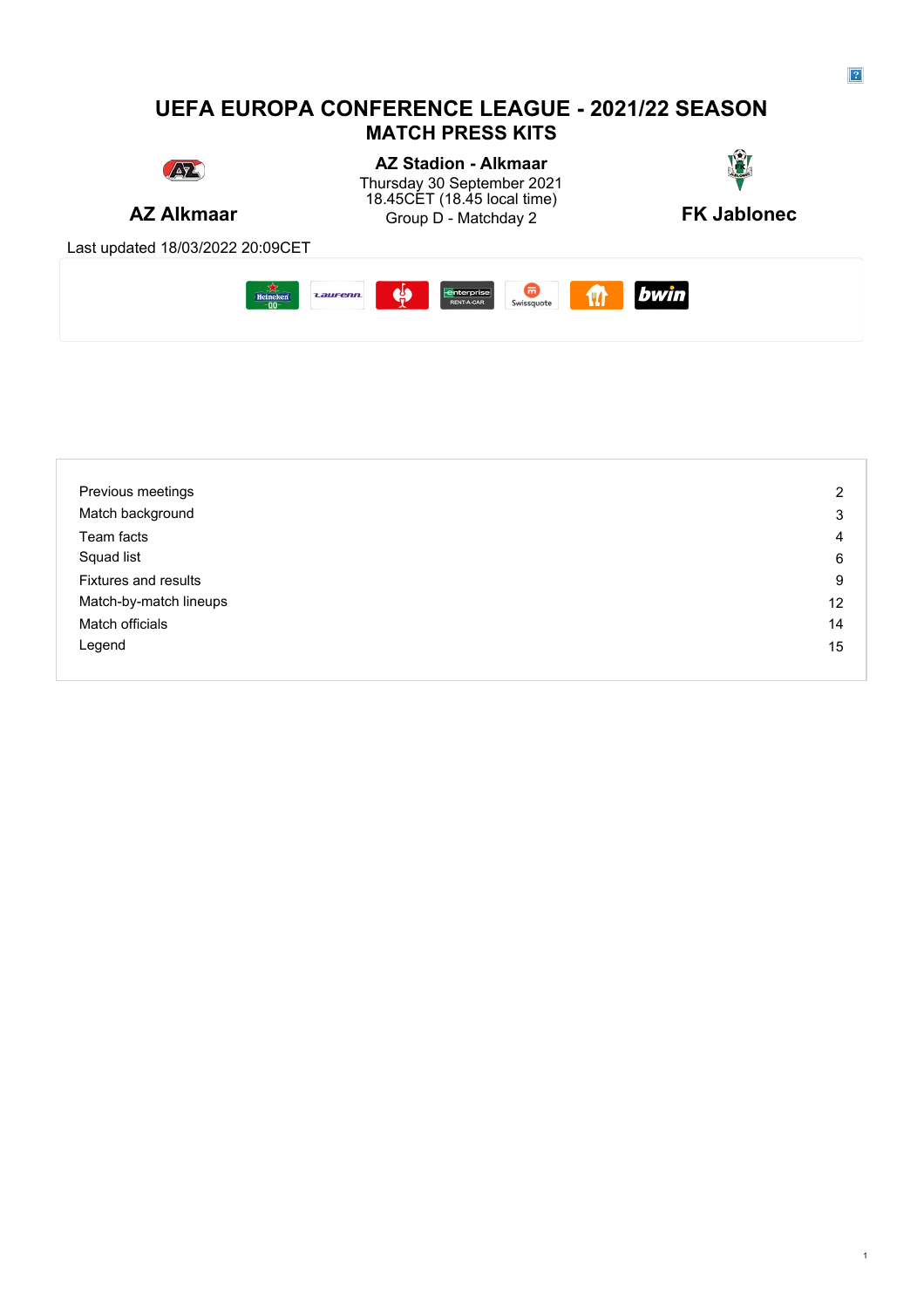# **UEFA EUROPA CONFERENCE LEAGUE - 2021/22 SEASON MATCH PRESS KITS**



**AZ Alkmaar** Group D - Matchday 2 **FK Jablonec AZ Stadion - Alkmaar** Thursday 30 September 2021 **Thursday 30 September 2021** 18.45CET (18.45 local time)



Last updated 18/03/2022 20:09CET



| Previous meetings           | $\overline{2}$ |
|-----------------------------|----------------|
| Match background            | 3              |
| Team facts                  | 4              |
| Squad list                  | 6              |
| <b>Fixtures and results</b> | 9              |
| Match-by-match lineups      | 12             |
| Match officials             | 14             |
| Legend                      | 15             |
|                             |                |

1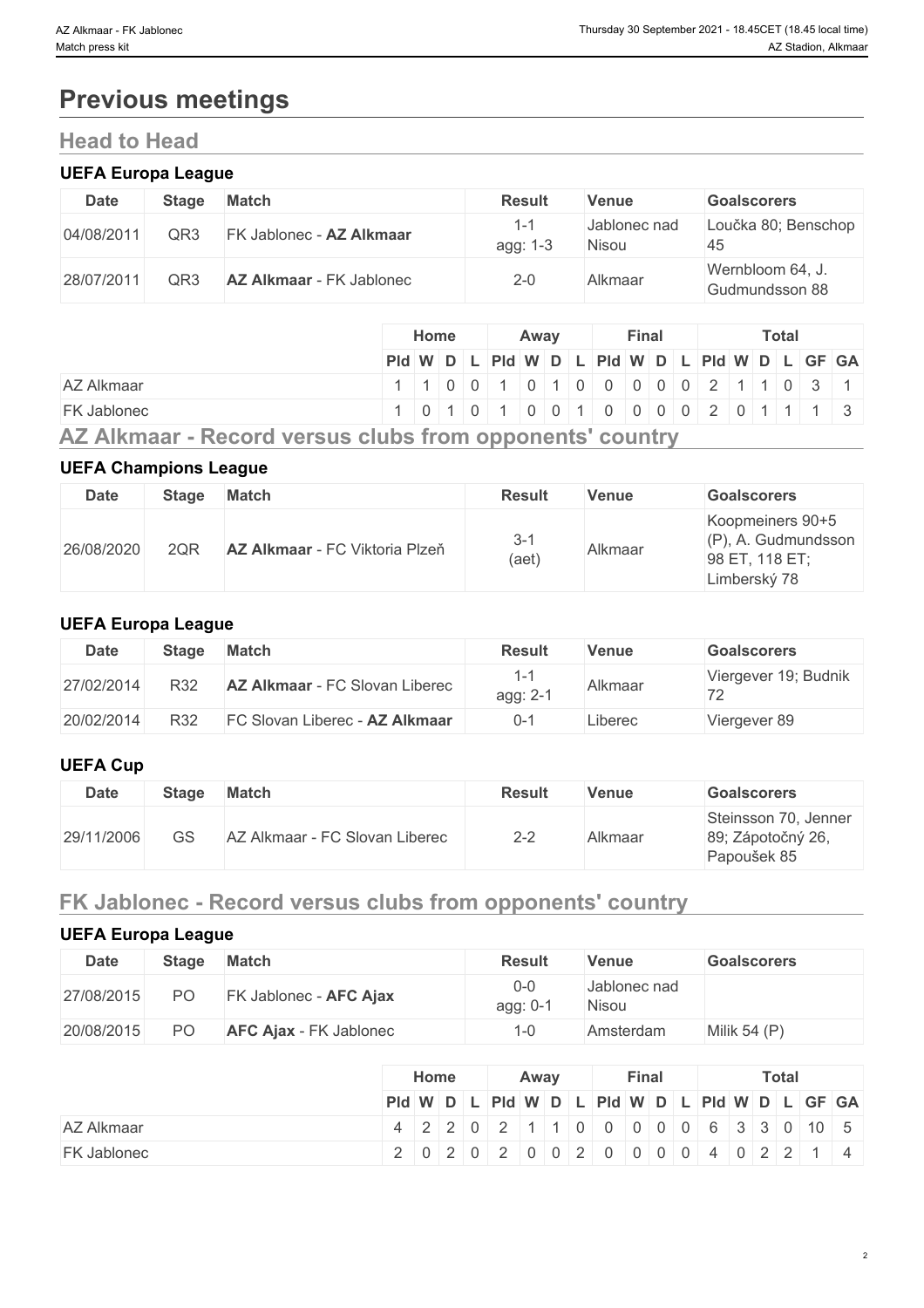# **Previous meetings**

# **Head to Head**

## **UEFA Europa League**

| <b>Date</b> | Stage | <b>Match</b>                    | <b>Result</b>   | Venue                 | <b>Goalscorers</b>                 |
|-------------|-------|---------------------------------|-----------------|-----------------------|------------------------------------|
| 04/08/2011  | QR3   | FK Jablonec - AZ Alkmaar        | 1-1<br>agg: 1-3 | Jablonec nad<br>Nisou | Loučka 80; Benschop<br>45          |
| 28/07/2011  | QR3   | <b>AZ Alkmaar</b> - FK Jablonec | $2 - 0$         | Alkmaar               | Wernbloom 64, J.<br>Gudmundsson 88 |

| PId W D L PId W D L PId W D L PId W D L GF GA                                         |
|---------------------------------------------------------------------------------------|
| AZ Alkmaar<br>$1   1   0   0   1   0   1   0   0   0   0   0   2   1   1   0   3   1$ |
| <b>FK Jablonec</b><br>1 0 1 0 1 0 0 1 0 0 1 0 0 0 0 2 0 1 1 1 3                       |

# **UEFA Champions League**

|             |              | $\sim$                         |                  |         |                                                                              |
|-------------|--------------|--------------------------------|------------------|---------|------------------------------------------------------------------------------|
| <b>Date</b> | <b>Stage</b> | <b>Match</b>                   | <b>Result</b>    | Venue   | <b>Goalscorers</b>                                                           |
| 26/08/2020  | 2QR          | AZ Alkmaar - FC Viktoria Plzeň | $3 - 1$<br>(aet) | Alkmaar | Koopmeiners 90+5<br>$(P)$ , A. Gudmundsson<br>98 ET, 118 ET;<br>Limberský 78 |

## **UEFA Europa League**

| <b>Date</b> | <b>Stage</b> | <b>Match</b>                          | Result   | Venue   | <b>Goalscorers</b>   |
|-------------|--------------|---------------------------------------|----------|---------|----------------------|
| 27/02/2014  | R32          | <b>AZ Alkmaar</b> - FC Slovan Liberec | agg: 2-1 | Alkmaar | Viergever 19; Budnik |
| 20/02/2014  | R32          | FC Slovan Liberec - AZ Alkmaar        | $0 - 7$  | Liberec | Viergever 89         |

## **UEFA Cup**

| <b>Date</b> | <b>Stage</b> | <b>Match</b>                   | <b>Result</b> | <b>Venue</b> | <b>Goalscorers</b>                                       |
|-------------|--------------|--------------------------------|---------------|--------------|----------------------------------------------------------|
| 29/11/2006  | GS           | AZ Alkmaar - FC Slovan Liberec | $2 - 2$       | Alkmaar      | Steinsson 70, Jenner<br>89; Zápotočný 26,<br>Papoušek 85 |

# **FK Jablonec - Record versus clubs from opponents' country**

# **UEFA Europa League**

| <b>Date</b> | <b>Stage</b> | <b>Match</b>                  | <b>Result</b>       | Venue                 | <b>Goalscorers</b> |
|-------------|--------------|-------------------------------|---------------------|-----------------------|--------------------|
| 27/08/2015  | PO           | FK Jablonec - AFC Ajax        | $0-0$<br>$agg: 0-7$ | Jablonec nad<br>Nisou |                    |
| 20/08/2015  | PO           | <b>AFC Ajax - FK Jablonec</b> | $-0$                | Amsterdam             | Milik 54 $(P)$     |

|                    | Home<br>Away                                                           |  | Final |  |  |  |  | Total |  |  |  |  |  |  |  |
|--------------------|------------------------------------------------------------------------|--|-------|--|--|--|--|-------|--|--|--|--|--|--|--|
|                    | PId WDLPId WDLPId WDLPId WDLPId WDLGF GA                               |  |       |  |  |  |  |       |  |  |  |  |  |  |  |
| <b>AZ Alkmaar</b>  | 4   2   2   0   2   1   1   0   0   0   0   0   6   3   3   0   10   5 |  |       |  |  |  |  |       |  |  |  |  |  |  |  |
| <b>FK Jablonec</b> | 2 0 2 0 2 0 0 2 0 0 2 0 0 0 0 4 0 2 2 1 4                              |  |       |  |  |  |  |       |  |  |  |  |  |  |  |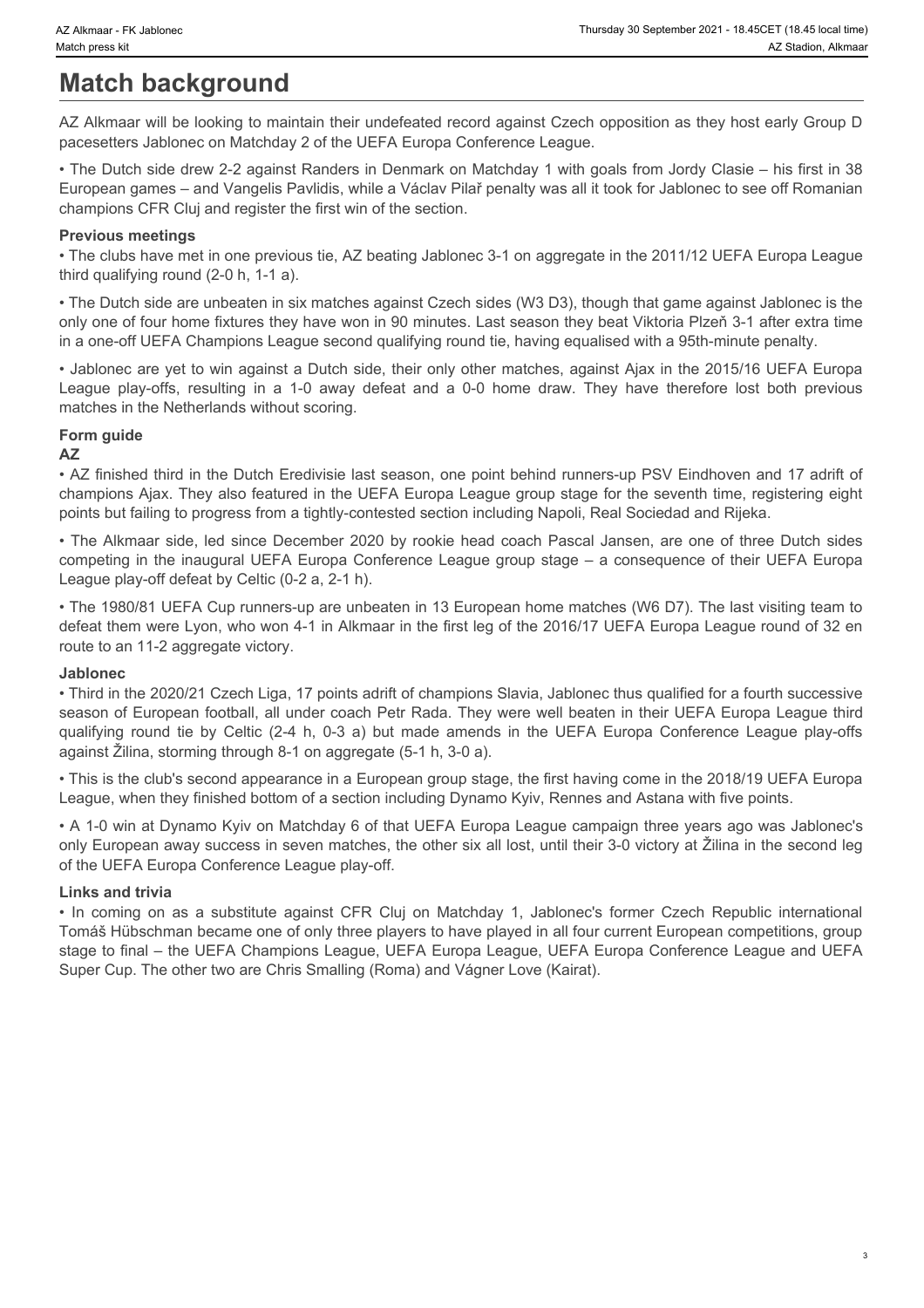# **Match background**

AZ Alkmaar will be looking to maintain their undefeated record against Czech opposition as they host early Group D pacesetters Jablonec on Matchday 2 of the UEFA Europa Conference League.

• The Dutch side drew 2-2 against Randers in Denmark on Matchday 1 with goals from Jordy Clasie – his first in 38 European games – and Vangelis Pavlidis, while a Václav Pilař penalty was all it took for Jablonec to see off Romanian champions CFR Cluj and register the first win of the section.

#### **Previous meetings**

• The clubs have met in one previous tie, AZ beating Jablonec 3-1 on aggregate in the 2011/12 UEFA Europa League third qualifying round (2-0 h, 1-1 a).

• The Dutch side are unbeaten in six matches against Czech sides (W3 D3), though that game against Jablonec is the only one of four home fixtures they have won in 90 minutes. Last season they beat Viktoria Plzeň 3-1 after extra time in a one-off UEFA Champions League second qualifying round tie, having equalised with a 95th-minute penalty. League play-off stations: The Mathematic Fit Associations and the UEFA Europa Conference League.<br>
Az Alkmaar will be looking to maintain their undefeated record against Czech opposition as they host early Group D<br>
Az Alkma

• Jablonec are yet to win against a Dutch side, their only other matches, against Ajax in the 2015/16 UEFA Europa matches in the Netherlands without scoring.

# **Form guide**

#### **AZ**

• AZ finished third in the Dutch Eredivisie last season, one point behind runners-up PSV Eindhoven and 17 adrift of champions Ajax. They also featured in the UEFA Europa League group stage for the seventh time, registering eight points but failing to progress from a tightly-contested section including Napoli, Real Sociedad and Rijeka.

• The Alkmaar side, led since December 2020 by rookie head coach Pascal Jansen, are one of three Dutch sides competing in the inaugural UEFA Europa Conference League group stage – a consequence of their UEFA Europa League play-off defeat by Celtic (0-2 a, 2-1 h).

• The 1980/81 UEFA Cup runners-up are unbeaten in 13 European home matches (W6 D7). The last visiting team to defeat them were Lyon, who won 4-1 in Alkmaar in the first leg of the 2016/17 UEFA Europa League round of 32 en route to an 11-2 aggregate victory.

#### **Jablonec**

• Third in the 2020/21 Czech Liga, 17 points adrift of champions Slavia, Jablonec thus qualified for a fourth successive season of European football, all under coach Petr Rada. They were well beaten in their UEFA Europa League third gummar *K.Habene*<br>
Madden **DackGround**<br>
AZ Alkmas will be looking to maintain their undefeated record against Cerch reproduces as they host enter West<br>
CRO MATHEM Mothem of Mathematic fields UEFA Europa Conference League.<br> against Žilina, storming through 8-1 on aggregate (5-1 h, 3-0 a). • The Dutch side drotten as a substitute Republic internation Matchday 1 with postel from Juditiple Tompactical<br>Forecast parts – and Vangelis Ravidis, while a Victor Risk creation<br>
Previous meetings<br>
Previous meetings<br>
Pre

• This is the club's second appearance in a European group stage, the first having come in the 2018/19 UEFA Europa League, when they finished bottom of a section including Dynamo Kyiv, Rennes and Astana with five points.

• A 1-0 win at Dynamo Kyiv on Matchday 6 of that UEFA Europa League campaign three years ago was Jablonec's only European away success in seven matches, the other six all lost, until their 3-0 victory at Žilina in the second leg of the UEFA Europa Conference League play-off.

#### **Links and trivia**

Tomáš Hübschman became one of only three players to have played in all four current European competitions, group stage to final – the UEFA Champions League, UEFA Europa League, UEFA Europa Conference League and UEFA Super Cup. The other two are Chris Smalling (Roma) and Vágner Love (Kairat).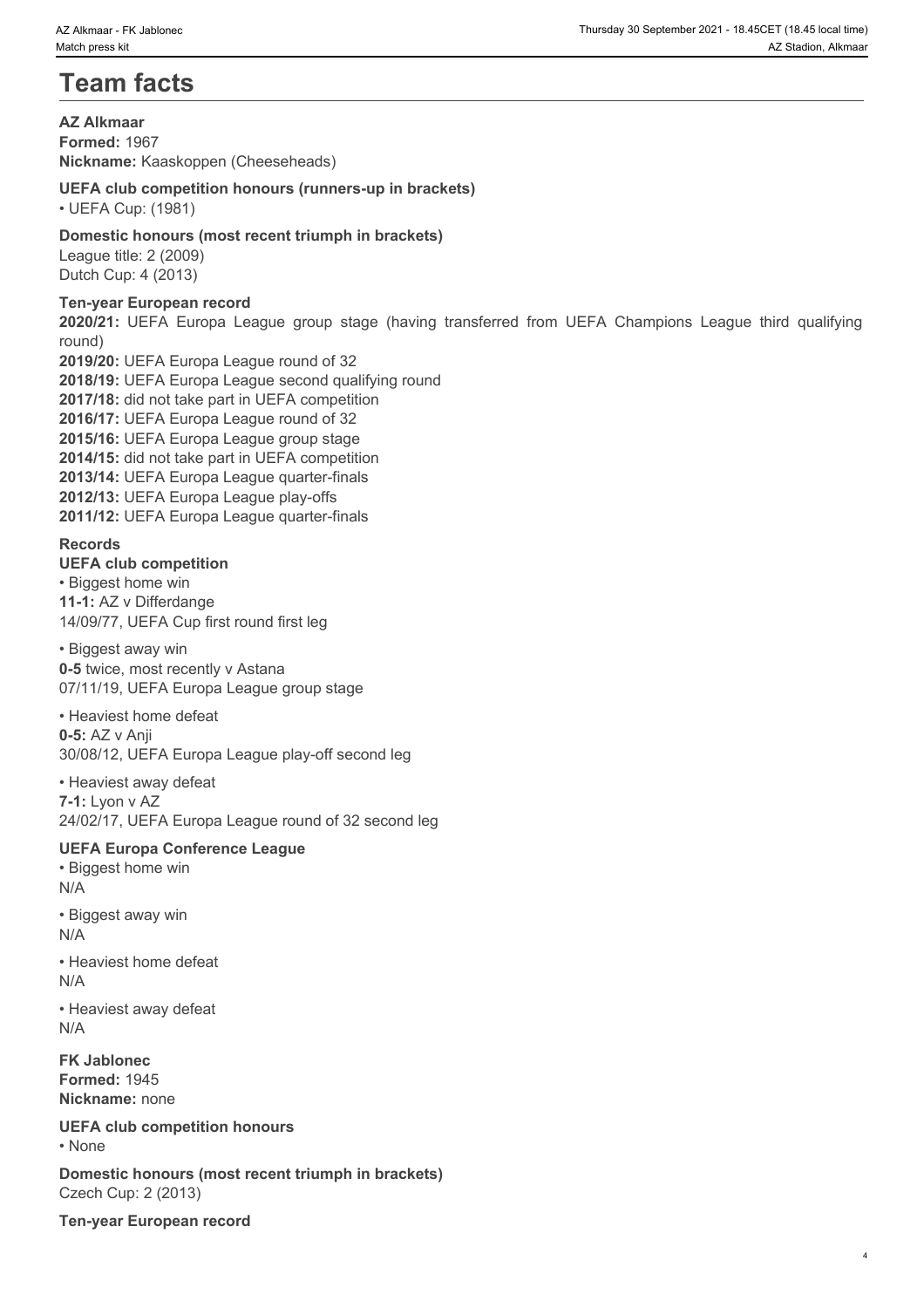# **Team facts**

**AZ Alkmaar Formed:** 1967 **Nickname:** Kaaskoppen (Cheeseheads)

### **UEFA club competition honours (runners-up in brackets)**

• UEFA Cup: (1981)

### **Domestic honours (most recent triumph in brackets)**

League title: 2 (2009) Dutch Cup: 4 (2013)

### **Ten-year European record**

round)

**2020 Alkmar - FK Jaioleoc FK Jaioleoc**<br> **2020 Alkmar - EX Jaioleon, Akmar**<br> **22 Alkmar - Example 1980**<br> **22 Alkmar - Example 1980**<br> **22 Alkmar - Example 1980**<br> **2020:** 1981 |<br> **2020:** UEFA Cup: (1981)<br> **2020:** UEFA Cup: ( **2019/20:** UEFA Europa League round of 32 **2018/19:** UEFA Europa League second qualifying round **2017/18:** did not take part in UEFA competition **2016/17:** UEFA Europa League round of 32 **2015/16:** UEFA Europa League group stage **2014/15:** did not take part in UEFA competition **2013/14:** UEFA Europa League quarter-finals **2012/13:** UEFA Europa League play-offs **2011/12:** UEFA Europa League quarter-finals

#### **Records**

#### **UEFA club competition**

• Biggest home win **11-1:** AZ v Differdange 14/09/77, UEFA Cup first round first leg

• Biggest away win **0-5** twice, most recently v Astana 07/11/19, UEFA Europa League group stage

• Heaviest home defeat **0-5:** AZ v Anji 30/08/12, UEFA Europa League play-off second leg

• Heaviest away defeat **7-1:** Lyon v AZ 24/02/17, UEFA Europa League round of 32 second leg

## **UEFA Europa Conference League**

• Biggest home win N/A

- Biggest away win N/A
- Heaviest home defeat N/A

• Heaviest away defeat N/A

**FK Jablonec Formed:** 1945 **Nickname:** none

**UEFA club competition honours** • None **blue** and **blue** and **blue** and **blue** and **blue** and **blue** and **blue** and **blue** and **blue** and **blue** and **blue** and **blue** and **blue** and **blue** and **blue** and **blue** and **blue** and **blue** and **blue** and **blue** 

**Domestic honours (most recent triumph in brackets)** Czech Cup: 2 (2013)

**Ten-year European record**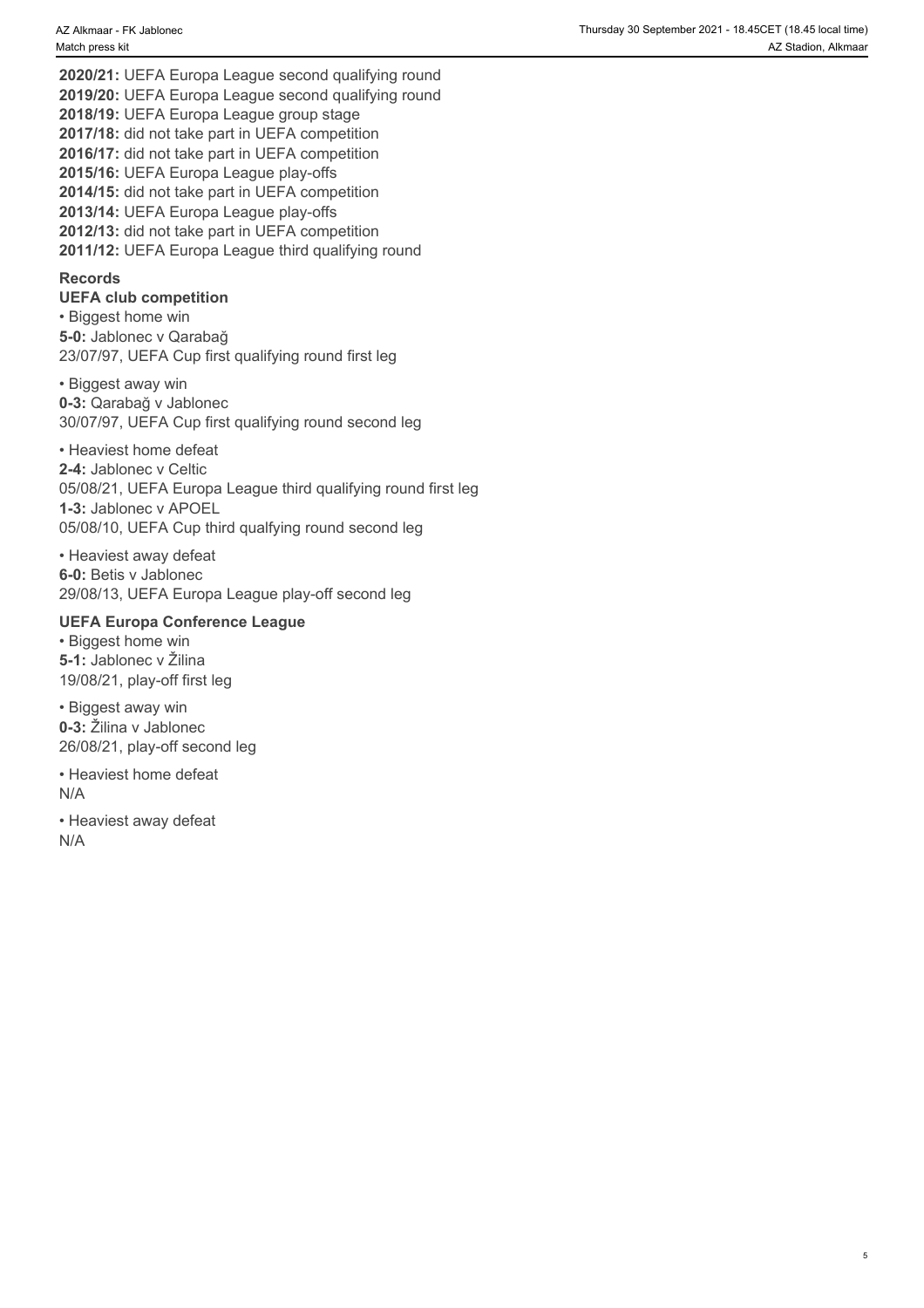**2020/21:** UEFA Europa League second qualifying round **2019/20:** UEFA Europa League second qualifying round **2018/19:** UEFA Europa League group stage **2017/18:** did not take part in UEFA competition **2016/17:** did not take part in UEFA competition **2015/16:** UEFA Europa League play-offs **2014/15:** did not take part in UEFA competition **2013/14:** UEFA Europa League play-offs **2012/13:** did not take part in UEFA competition **2011/12:** UEFA Europa League third qualifying round

#### **Records**

### **UEFA club competition**

• Biggest home win **5-0:** Jablonec v Qarabağ 23/07/97, UEFA Cup first qualifying round first leg

• Biggest away win **0-3:** Qarabağ v Jablonec 30/07/97, UEFA Cup first qualifying round second leg

• Heaviest home defeat **2-4:** Jablonec v Celtic 05/08/21, UEFA Europa League third qualifying round first leg **1-3:** Jablonec v APOEL 05/08/10, UEFA Cup third qualfying round second leg

• Heaviest away defeat **6-0:** Betis v Jablonec 29/08/13, UEFA Europa League play-off second leg

#### **UEFA Europa Conference League**

• Biggest home win **5-1:** Jablonec v Žilina 19/08/21, play-off first leg

• Biggest away win **0-3:** Žilina v Jablonec 26/08/21, play-off second leg

• Heaviest home defeat N/A

• Heaviest away defeat N/A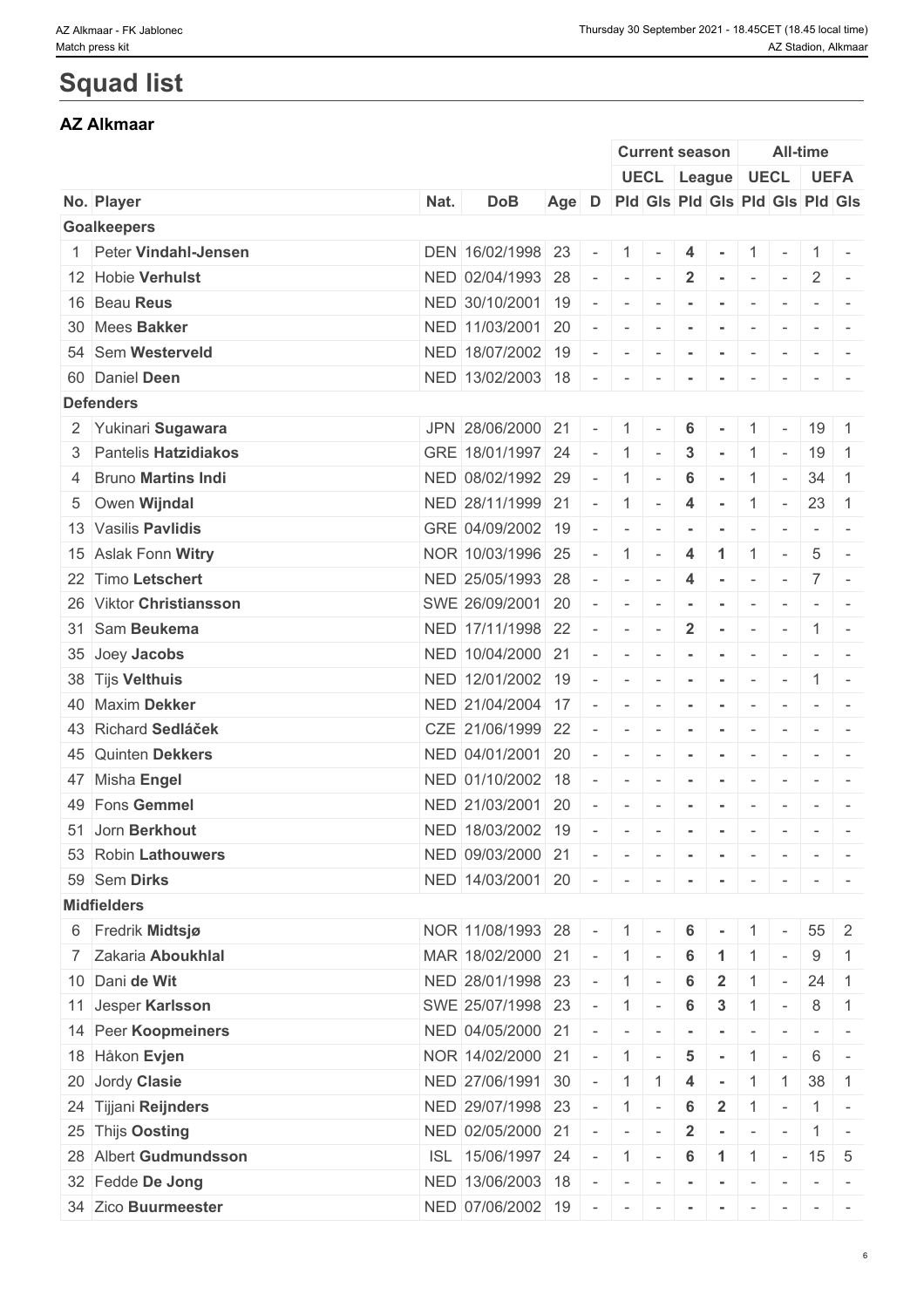# **Squad list**

## **AZ Alkmaar**

|                         |      |                           |       |                          |                             | <b>Current season</b>           |                |                      |                          |                          | <b>All-time</b>          |                                                                                                                                             |
|-------------------------|------|---------------------------|-------|--------------------------|-----------------------------|---------------------------------|----------------|----------------------|--------------------------|--------------------------|--------------------------|---------------------------------------------------------------------------------------------------------------------------------------------|
|                         |      |                           |       |                          |                             | UECL League UECL UEFA           |                |                      |                          |                          |                          |                                                                                                                                             |
| No. Player              | Nat. | <b>DoB</b>                | Age D |                          |                             | Pld Gls Pld Gls Pld Gls Pld Gls |                |                      |                          |                          |                          |                                                                                                                                             |
| <b>Goalkeepers</b>      |      |                           |       |                          |                             |                                 |                |                      |                          |                          |                          |                                                                                                                                             |
| 1 Peter Vindahl-Jensen  |      | DEN 16/02/1998 23         |       | $\sim$                   | 1                           | $\sim$                          | 4              | $\sim$               | $1 -$                    |                          |                          | $1$ -                                                                                                                                       |
| 12 Hobie Verhulst       |      | NED 02/04/1993 28         |       |                          | $\sim$                      | $\sim$                          | $\overline{2}$ | $\sim$               | $\sim$                   | $\sim$ $-$               | $\overline{2}$           | $\sim$                                                                                                                                      |
| 16 Beau Reus            |      | NED 30/10/2001            | 19    | $\overline{\phantom{a}}$ | $\overline{\phantom{a}}$    |                                 |                |                      |                          |                          |                          |                                                                                                                                             |
| 30 Mees Bakker          |      | NED 11/03/2001 20         |       | $\sim$                   | $\sim$                      | $\sim$                          | $\sim$         | $\sim$               | $\sim$                   | $\sim$                   | $-1$                     |                                                                                                                                             |
| 54 Sem Westerveld       |      | NED 18/07/2002 19         |       | $\overline{\phantom{a}}$ | $\overline{\phantom{a}}$    | $\sim$                          | $\sim$         | $\sim$               | $\sim$                   | $\sim$                   |                          | $\frac{1}{2} \left( \frac{1}{2} \right) \left( \frac{1}{2} \right) \left( \frac{1}{2} \right) \left( \frac{1}{2} \right)$                   |
| 60 Daniel Deen          |      | NED 13/02/2003 18         |       | $\sim$                   | $\sim$                      |                                 |                |                      | $\overline{\phantom{a}}$ |                          | $-$                      |                                                                                                                                             |
| <b>Defenders</b>        |      |                           |       |                          |                             |                                 |                |                      |                          |                          |                          |                                                                                                                                             |
| 2 Yukinari Sugawara     |      | JPN 28/06/2000 21         |       | $\sim$                   | $\vert 1 \vert$             | $\sim$                          | 6              |                      | $\mathbf{1}$             | $\mathbf{r}$             | $19$ 1                   |                                                                                                                                             |
| 3 Pantelis Hatzidiakos  |      | GRE 18/01/1997 24         |       | $\sim$                   | 1 <sup>1</sup>              | $\sim$                          | 3              |                      | $\mathbf{1}$             | $\sim$                   | 19 1                     |                                                                                                                                             |
| 4 Bruno Martins Indi    |      | NED 08/02/1992 29         |       | $\sim$                   | $\overline{1}$              | $\overline{\phantom{a}}$        | 6              | $\sim$               | $\mathbf{1}$             | $\overline{\phantom{a}}$ | $34 \mid 1$              |                                                                                                                                             |
| 5 Owen Wijndal          |      | NED 28/11/1999 21         |       | $\sim$                   | 11                          | $\sim$                          | $\overline{4}$ | $\sim$ 10 $\pm$      |                          | $1 -$                    | $23 \quad 1$             |                                                                                                                                             |
| 13 Vasilis Pavlidis     |      | GRE 04/09/2002 19         |       |                          | $\overline{\phantom{a}}$    |                                 |                |                      |                          | $\overline{\phantom{a}}$ |                          | $\frac{1}{2} \left( \frac{1}{2} \right) \left( \frac{1}{2} \right) = \frac{1}{2}$                                                           |
| 15 Aslak Fonn Witry     |      | NOR 10/03/1996 25         |       | $\overline{a}$           | $\overline{1}$              | $\overline{\phantom{a}}$        | $\overline{4}$ | $\blacktriangleleft$ |                          | $\sim$                   | 5                        |                                                                                                                                             |
| 22 Timo Letschert       |      | NED 25/05/1993 28         |       | $\sim$                   | $\sim$                      |                                 | 4              | $\sim$               | $\sim$                   | $\mathbf{r}$             |                          | $7 -$                                                                                                                                       |
| 26 Viktor Christiansson |      | SWE 26/09/2001            | 20    |                          | $\overline{\phantom{a}}$    | $\sim$                          |                |                      | $\overline{\phantom{a}}$ | $\overline{\phantom{a}}$ |                          |                                                                                                                                             |
| 31 Sam Beukema          |      | NED 17/11/1998 22         |       | $\sim$                   | $\sim$                      |                                 | $\overline{2}$ |                      | $\overline{\phantom{a}}$ | $\overline{\phantom{a}}$ |                          | $1 -$                                                                                                                                       |
| 35 Joey Jacobs          |      | NED 10/04/2000 21         |       | $\sim$                   | $\sim$                      | $\sim$                          | $\sim$         | $\sim$               | $\sim$                   | $\sim$                   |                          | $\sim$ 100 $\sim$                                                                                                                           |
| 38 Tijs Velthuis        |      | NED 12/01/2002 19         |       |                          | $\sim$                      | $\sim$                          | $\sim$         | $\sim$               | $\sim$                   | $\sim$                   |                          | $1 -$                                                                                                                                       |
| 40 Maxim Dekker         |      | NED 21/04/2004 17         |       |                          | $\overline{\phantom{a}}$    |                                 |                |                      | $\overline{\phantom{a}}$ |                          | $-1$                     |                                                                                                                                             |
| 43 Richard Sedláček     |      | CZE 21/06/1999 22         |       | $\overline{\phantom{a}}$ |                             |                                 |                |                      |                          |                          |                          |                                                                                                                                             |
|                         |      | NED 04/01/2001            |       |                          | $\sim$                      | $\overline{\phantom{a}}$        | $\blacksquare$ | $\sim$               | $\overline{\phantom{a}}$ | $\sim$                   | $\overline{\phantom{a}}$ |                                                                                                                                             |
| 45 Quinten Dekkers      |      |                           | 20    |                          | $\overline{\phantom{a}}$    | $\sim$                          | $\sim$         | $\sim$               | $\sim$                   | $\sim$                   |                          | $\mathcal{L} = \{ \mathcal{L} \mid \mathcal{L} = \mathcal{L} \}$                                                                            |
| 47 Misha Engel          |      | NED 01/10/2002            | 18    |                          | $\overline{\phantom{a}}$    |                                 |                |                      | $\overline{\phantom{a}}$ | $\overline{\phantom{a}}$ |                          | $\frac{1}{2} \left( \frac{1}{2} \right) \left( \frac{1}{2} \right) \left( \frac{1}{2} \right) \left( \frac{1}{2} \right)$                   |
| 49 Fons Gemmel          |      | NED 21/03/2001            | 20    | $\overline{\phantom{a}}$ | $\overline{\phantom{a}}$    |                                 |                |                      | $\overline{\phantom{a}}$ | $\overline{\phantom{a}}$ | $\sim$                   | $\overline{\phantom{a}}$                                                                                                                    |
| 51 Jorn Berkhout        |      | NED 18/03/2002 19         |       | $\overline{\phantom{a}}$ | $\sim$                      | $\sim$                          | $\sim$         | $\sim$               | $\sim$                   | $\overline{\phantom{a}}$ |                          | $\frac{1}{2} \left( \frac{1}{2} \right) \left( \frac{1}{2} \right) = \frac{1}{2}$                                                           |
| 53 Robin Lathouwers     |      | NED 09/03/2000 21         |       | $\overline{\phantom{a}}$ | $\sim$                      | $\sim$ $\sim$                   | $\mathbf{r}$   | $\sim$               | $\sim$                   | $\sim$                   |                          | $\mathcal{L}_{\mathcal{A}} = \mathcal{L}_{\mathcal{A}} + \mathcal{L}_{\mathcal{A}} + \mathcal{L}_{\mathcal{A}} + \mathcal{L}_{\mathcal{A}}$ |
| 59 Sem Dirks            |      | NED 14/03/2001 20         |       | $\sim$                   | $\sim$                      | $\sim$                          | $\sim$         |                      | $\overline{\phantom{a}}$ |                          |                          |                                                                                                                                             |
| <b>Midfielders</b>      |      |                           |       |                          |                             |                                 |                |                      |                          |                          |                          |                                                                                                                                             |
| 6 Fredrik Midtsjø       |      | NOR 11/08/1993 28         |       | $\sim$                   | $\vert 1 \vert$             |                                 | 6              |                      |                          |                          | $55 \quad 2$             |                                                                                                                                             |
| 7 Zakaria Aboukhlal     |      | MAR 18/02/2000 21         |       | $\sim$                   | $\vert 1 \vert$             |                                 | 6              | -1                   |                          |                          | 9                        | $\overline{1}$                                                                                                                              |
| 10 Dani de Wit          |      | NED 28/01/1998 23         |       | $\sim$                   | $\vdash\mathbf{1}$ $\vdash$ |                                 | 6              | $\overline{2}$       | $\overline{1}$           | $\sim$                   | $24 \quad 1$             |                                                                                                                                             |
| 11 Jesper Karlsson      |      | SWE 25/07/1998 23         |       |                          | 1                           |                                 | 6              | $\mathbf{3}$         | $\mathbf{1}$             |                          | 8                        | $\overline{1}$                                                                                                                              |
| 14 Peer Koopmeiners     |      | NED 04/05/2000 21         |       | $\sim$                   | $\sim$                      |                                 |                |                      |                          |                          |                          |                                                                                                                                             |
| 18 Håkon Evjen          |      | NOR 14/02/2000 21         |       | $\sim$                   | $-1$                        |                                 | 5              |                      |                          | $\sim$                   | 6                        |                                                                                                                                             |
| 20 Jordy Clasie         |      | NED 27/06/1991 30         |       | $\sim$                   | 1                           |                                 | 4              |                      | $\mathbf{1}$             | $\vert$ 1                | $38 \mid 1$              |                                                                                                                                             |
| 24 Tijjani Reijnders    |      | NED 29/07/1998 23         |       | $\sim$                   | $\vert 1 \vert$             | $\sim$                          | 6              | $\overline{2}$       | $1 -$                    |                          |                          | $1$ -                                                                                                                                       |
| 25 Thijs Oosting        |      | NED 02/05/2000 21         |       | $\sim$                   | $\sim$                      | $\overline{\phantom{a}}$        | $\overline{2}$ | $\sim$               | $\sim$                   | $\sim$ $-$               |                          | $1 -$                                                                                                                                       |
| 28 Albert Gudmundsson   |      | ISL 15/06/1997 24         |       |                          | $-1$                        | $\sim$                          | 6              | $1 \mid 1 \mid -$    |                          |                          | $15 \quad 5$             |                                                                                                                                             |
| 32 Fedde De Jong        |      | NED 13/06/2003 18         |       | $\overline{\phantom{a}}$ | $\sim$                      | $\sim$                          | $\sim$         | $\sim$               | $\sim$                   | $\mathbf{r}$             |                          | $\mathcal{L} = \{ \mathcal{L} \mid \mathcal{L} = \mathcal{L} \}$                                                                            |
| 34 Zico Buurmeester     |      | NED 07/06/2002 19 - - - - |       |                          |                             |                                 |                | $\sim$               | $\sim$                   | $\sim$                   |                          | $\frac{1}{2} \left( \frac{1}{2} \right) \left( \frac{1}{2} \right) = \frac{1}{2} \left( \frac{1}{2} \right)$                                |
|                         |      |                           |       |                          |                             |                                 |                |                      |                          |                          |                          |                                                                                                                                             |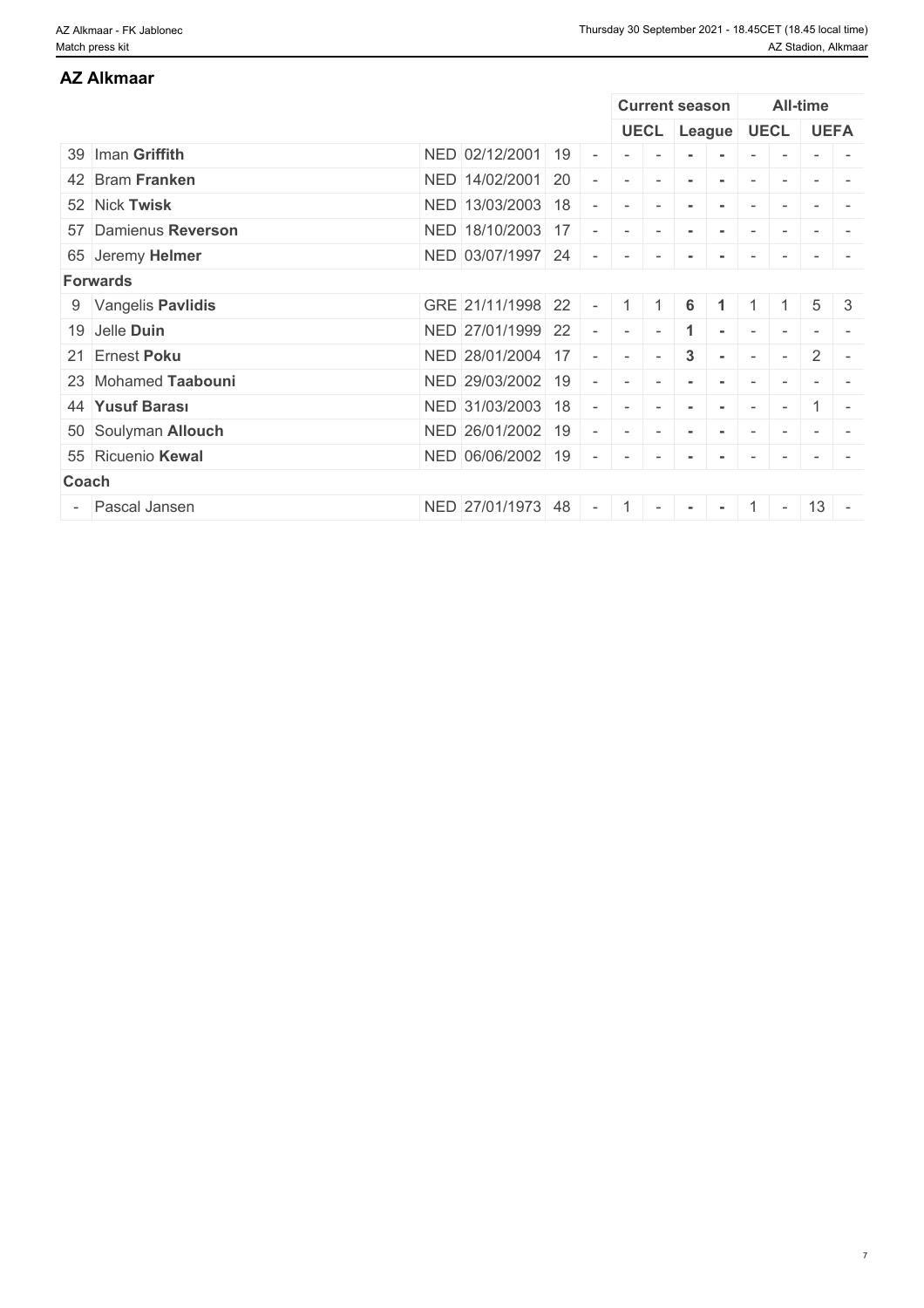# 39 Iman **Griffith** NED 02/12/2001 19 - - - **- -** - - - - 42 Bram **Franken** NED 14/02/2001 20 - - - **- -** - - - - 52 Nick **Twisk** NED 13/03/2003 18 - - - **- -** - - - - 57 Damienus **Reverson** NED 18/10/2003 17 - - - **- -** - - - - 65 Jeremy **Helmer** NED 03/07/1997 24 - - - **- -** - - - - **Forwards** 9 Vangelis **Pavlidis** GRE 21/11/1998 22 - 1 1 **6 1** 1 1 5 3 19 Jelle **Duin** NED 27/01/1999 22 - - 1 - 1 - - - -21 Ernest **Poku** NED 28/01/2004 17 - - - **3 -** - - 2 - 23 Mohamed Taabouni **NED 29/03/2002 19 - - - - - - -** - - -44 **Yusuf Barası** NED 31/03/2003 18 - - - **- -** - - 1 - 50 Soulyman **Allouch** NED 26/01/2002 19 - - - **- -** - - - - 55 Ricuenio **Kewal** NED 06/06/2002 19 - - - **- -** - - - - **Coach Coach Coach Coach Coach Coach Coach <b>Coach Coach Coach** - Pascal Jansen NED 27/01/1973 48 - 1 - **- -** 1 - 13 - **AZ Alkmaar Current season All-time UECL League UECL UEFA**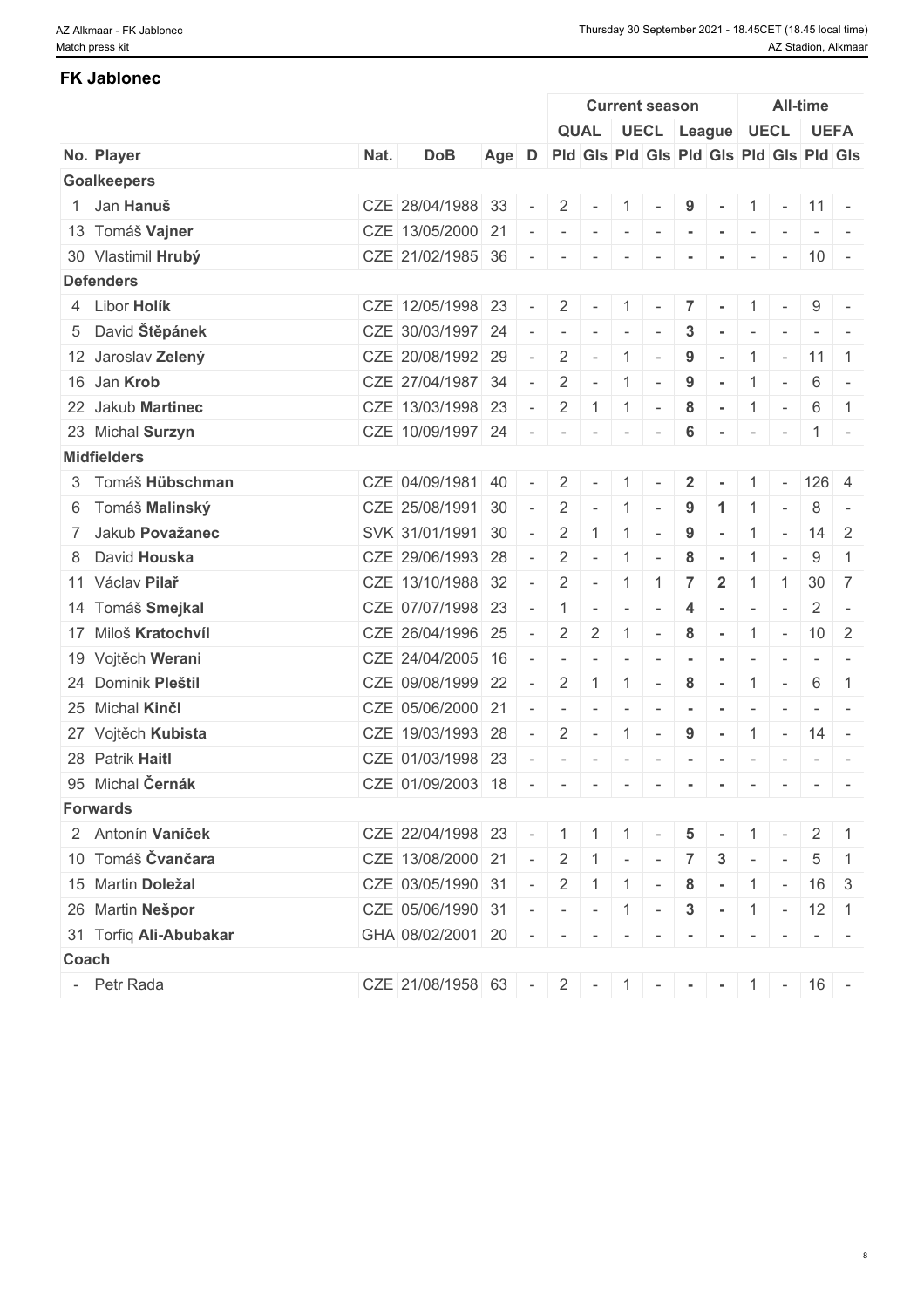## **FK Jablonec**

|                        |      |                   |       |                |                          |                   |                          | <b>Current season</b>    |                |                                         |                          |                          | <b>All-time</b> |                                                                                                              |
|------------------------|------|-------------------|-------|----------------|--------------------------|-------------------|--------------------------|--------------------------|----------------|-----------------------------------------|--------------------------|--------------------------|-----------------|--------------------------------------------------------------------------------------------------------------|
|                        |      |                   |       |                |                          |                   |                          |                          |                | QUAL   UECL   League   UECL   UEFA      |                          |                          |                 |                                                                                                              |
| No. Player             | Nat. | <b>DoB</b>        | Age D |                |                          |                   |                          |                          |                | Pid Gis Pid Gis Pid Gis Pid Gis Pid Gis |                          |                          |                 |                                                                                                              |
| <b>Goalkeepers</b>     |      |                   |       |                |                          |                   |                          |                          |                |                                         |                          |                          |                 |                                                                                                              |
| 1 Jan Hanuš            |      | CZE 28/04/1988 33 |       |                | 2                        | $\sim$            | 1                        |                          | 9              |                                         |                          | $1 - 11 -$               |                 |                                                                                                              |
| 13 Tomáš Vajner        |      | CZE 13/05/2000 21 |       |                | $\sim$                   | $\sim$            | $\sim$                   | $\sim$                   | $\sim$         | $\sim$                                  | $\sim$                   | $\sim$                   |                 | $\sim$ 100 $\sim$ 100 $\sim$                                                                                 |
| 30 Vlastimil Hrubý     |      | CZE 21/02/1985 36 |       |                |                          |                   |                          |                          |                |                                         |                          | $\sim$                   | $ 10 -$         |                                                                                                              |
| <b>Defenders</b>       |      |                   |       |                |                          |                   |                          |                          |                |                                         |                          |                          |                 |                                                                                                              |
| 4 Libor Holík          |      | CZE 12/05/1998 23 |       |                | $2^{\circ}$              | $\sim$            | $\vert$ 1                | $\sim$                   | $\overline{7}$ | $\sim$                                  |                          | $1 -$                    | $9 -$           |                                                                                                              |
| 5 David Štěpánek       |      | CZE 30/03/1997 24 |       |                |                          | $\sim$            | $\sim$                   |                          | 3              |                                         |                          |                          |                 |                                                                                                              |
| 12 Jaroslav Zelený     |      | CZE 20/08/1992 29 |       | $\sim$         | 2                        | $\sim$            | $\overline{1}$           | $\overline{\phantom{a}}$ | 9              | $\sim$                                  | $\mathbf{1}$             | $\sim$                   | $11 \mid 1$     |                                                                                                              |
| 16 Jan Krob            |      | CZE 27/04/1987 34 |       |                | $\overline{2}$           | $\sim$            | $\vert 1 \vert$          | $\sim$                   | 9              | $\sim$                                  |                          | $1$ -                    | 6               | $\sim$                                                                                                       |
| 22 Jakub Martinec      |      | CZE 13/03/1998 23 |       |                | 2                        |                   | $1 \mid 1 \mid$          | $\sim$                   | 8              | $\sim$                                  |                          | $1 -$                    | 6               | $\blacksquare$ 1                                                                                             |
| 23 Michal Surzyn       |      | CZE 10/09/1997 24 |       |                | $\overline{\phantom{a}}$ | $\sim$            | $\overline{\phantom{a}}$ |                          | 6              | $\sim$                                  | $\sim$                   | $\sim$                   | $1 -$           |                                                                                                              |
| <b>Midfielders</b>     |      |                   |       |                |                          |                   |                          |                          |                |                                         |                          |                          |                 |                                                                                                              |
| 3 Tomáš Hübschman      |      | CZE 04/09/1981 40 |       |                | 2                        |                   | $\overline{1}$           | $\sim$                   | $\overline{2}$ |                                         | 1                        | $\sim$                   | $126 \quad 4$   |                                                                                                              |
| 6 Tomáš Malinský       |      | CZE 25/08/1991 30 |       | $\sim$         | 2                        | $\sim$            | $\overline{1}$           | $\sim$                   | 9              | -1                                      |                          |                          | 8               | $\sim$                                                                                                       |
| 7 Jakub Považanec      |      | SVK 31/01/1991 30 |       |                | 2                        | -1                | $\overline{1}$           | $\overline{\phantom{a}}$ | 9              | $\sim$                                  | $\mathbf{1}$             | $\sim$                   | $14 \mid 2$     |                                                                                                              |
| 8 David Houska         |      | CZE 29/06/1993 28 |       |                | 2                        | $\sim$            | $\overline{1}$           |                          | 8              |                                         | $\mathbf{1}$             | $\overline{\phantom{a}}$ | 9               | $\overline{1}$                                                                                               |
| 11 Václav Pilař        |      | CZE 13/10/1988 32 |       | $\sim$         | 2                        | $\sim$            | $\vert$ 1                | $\vert$ 1                | $\overline{7}$ | $\overline{\mathbf{2}}$                 | $\mathbf{1}$             | $\overline{1}$           | $30 \mid 7$     |                                                                                                              |
| 14 Tomáš Smejkal       |      | CZE 07/07/1998 23 |       |                | -1                       |                   | $\overline{a}$           |                          | 4              |                                         | $\overline{\phantom{a}}$ | $\overline{\phantom{a}}$ | 2               | $\sim$                                                                                                       |
| 17 Miloš Kratochvíl    |      | CZE 26/04/1996 25 |       |                | 2                        | $\overline{2}$    | $\overline{1}$           |                          | 8              | $\sim$                                  |                          | $1 -$                    | $10 \mid 2$     |                                                                                                              |
| 19 Vojtěch Werani      |      | CZE 24/04/2005 16 |       |                |                          |                   | $\overline{\phantom{a}}$ |                          |                |                                         |                          |                          |                 | $\frac{1}{2} \left( \frac{1}{2} \right) \left( \frac{1}{2} \right) = \frac{1}{2} \left( \frac{1}{2} \right)$ |
| 24 Dominik Pleštil     |      | CZE 09/08/1999 22 |       |                | 2                        | -1                | $\overline{1}$           |                          | 8              |                                         |                          |                          | 6               | $\overline{1}$                                                                                               |
| 25 Michal Kinčl        |      | CZE 05/06/2000 21 |       |                | $\sim$                   | $\sim$            | $\sim$                   | $\sim$                   | $\sim$         | $\sim$                                  | $\overline{\phantom{a}}$ |                          |                 | $\frac{1}{2} \left( \frac{1}{2} \right) \left( \frac{1}{2} \right) = \frac{1}{2} \left( \frac{1}{2} \right)$ |
| 27 Vojtěch Kubista     |      | CZE 19/03/1993 28 |       |                | 2                        | $\sim$            | 1                        | $\sim$                   | 9              | $\sim$                                  |                          | $1 -$                    | $14 -$          |                                                                                                              |
| 28 Patrik Haitl        |      | CZE 01/03/1998 23 |       |                | $\sim$                   |                   | $\overline{\phantom{a}}$ |                          |                |                                         |                          |                          |                 |                                                                                                              |
| 95 Michal Černák       |      | CZE 01/09/2003 18 |       |                | $\overline{\phantom{a}}$ | $\sim$            | $\overline{a}$           | $\sim$                   | $\sim$         | $\sim$                                  | $\sim$                   | $\sim$                   |                 | $\frac{1}{2} \left( \frac{1}{2} \right) \left( \frac{1}{2} \right) = \frac{1}{2}$                            |
| <b>Forwards</b>        |      |                   |       |                |                          |                   |                          |                          |                |                                         |                          |                          |                 |                                                                                                              |
| 2 Antonín Vaníček      |      | CZE 22/04/1998 23 |       |                |                          | $-$ 1 1 1 1 -     |                          |                          |                | $5 -$                                   |                          | $1$ -                    | $2 \mid 1$      |                                                                                                              |
| 10 Tomáš Čvančara      |      | CZE 13/08/2000 21 |       | $\sim$ $-$     |                          | $2 \mid 1 \mid -$ |                          | $\mathbf{r}$             | 7 <sup>1</sup> | $3$ -                                   |                          | $\sim$ $-$               | $5\overline{)}$ | $\vert$ 1                                                                                                    |
| 15 Martin Doležal      |      | CZE 03/05/1990 31 |       | $\sim$ $^{-1}$ |                          |                   |                          |                          |                | $2   1   1 -   8 -   1 -   16   3$      |                          |                          |                 |                                                                                                              |
| 26 Martin Nešpor       |      | CZE 05/06/1990 31 |       |                |                          | $    1$ $-$       |                          |                          | $\mathbf{3}$   | $ - 1 - 12 1$                           |                          |                          |                 |                                                                                                              |
| 31 Torfiq Ali-Abubakar |      | GHA 08/02/2001 20 |       |                | <b>Service</b> 1         | the company       |                          | $\sim$                   |                | $\sim$                                  | $\sim$                   | $\sim$                   |                 | $ -$                                                                                                         |
| Coach                  |      |                   |       |                |                          |                   |                          |                          |                |                                         |                          |                          |                 |                                                                                                              |
| - Petr Rada            |      | CZE 21/08/1958 63 |       |                |                          |                   |                          |                          |                | $-2$ - 1 - - - 1 - 1 - 1 - 16 -         |                          |                          |                 |                                                                                                              |
|                        |      |                   |       |                |                          |                   |                          |                          |                |                                         |                          |                          |                 |                                                                                                              |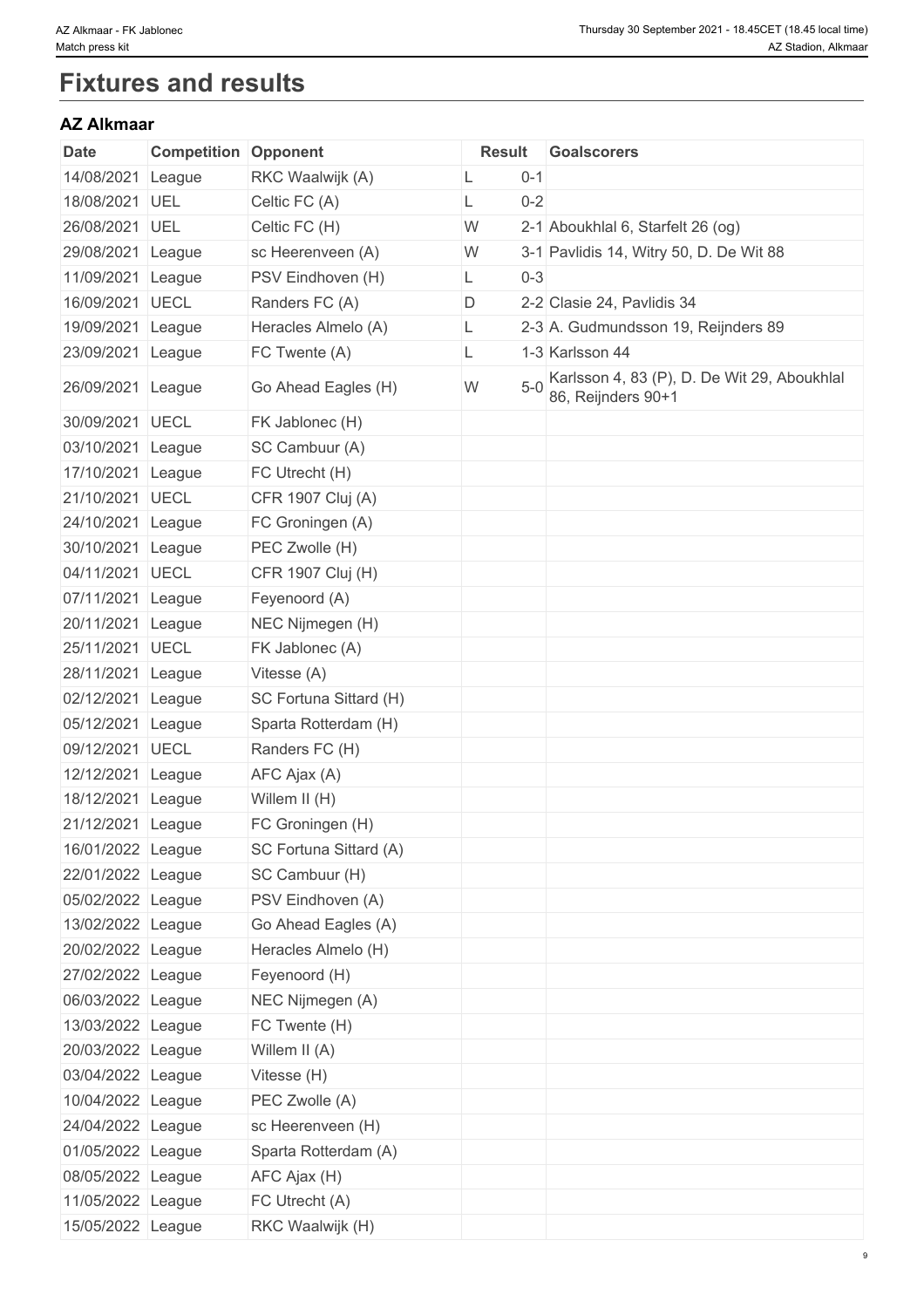# **Fixtures and results**

# **AZ Alkmaar**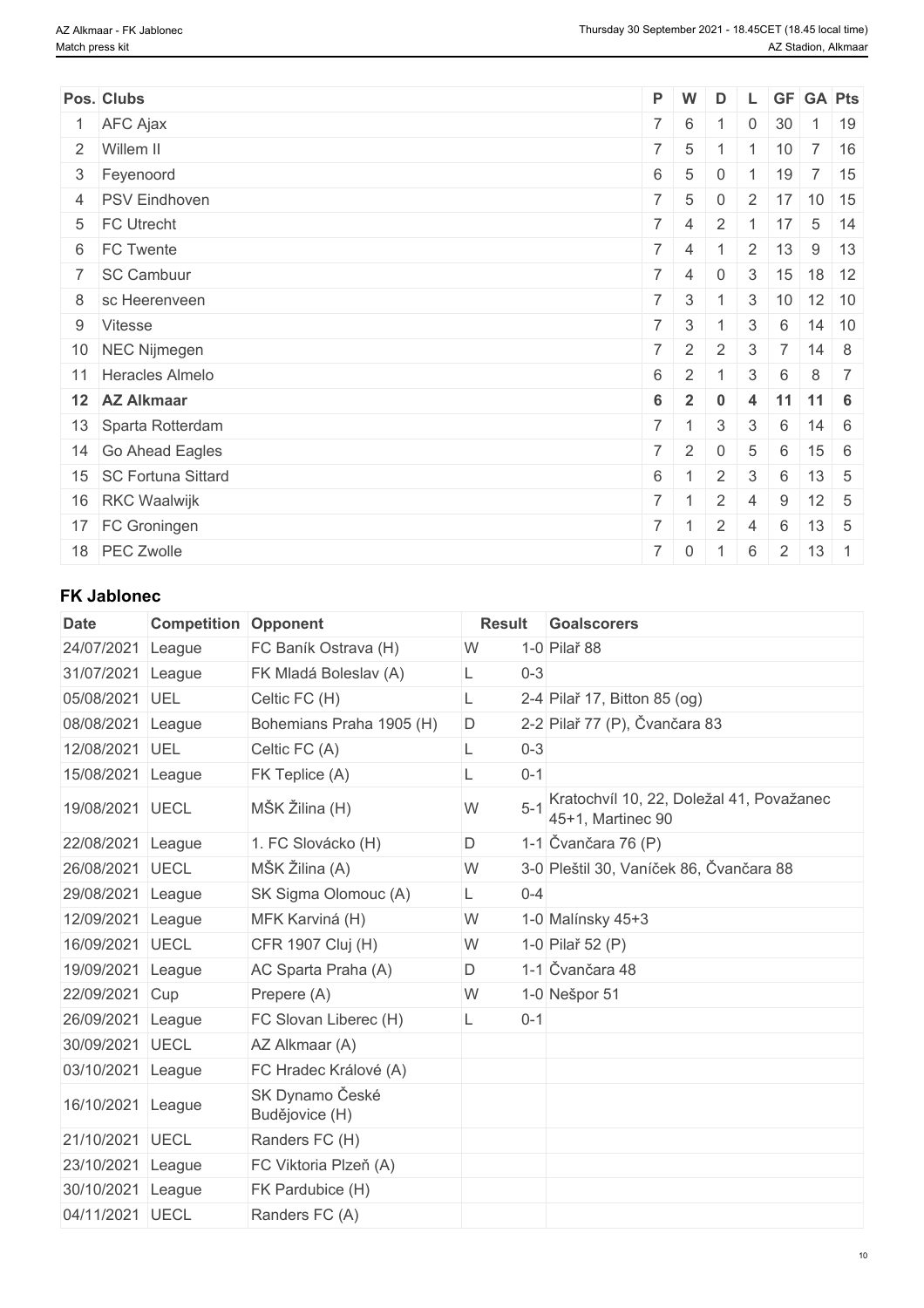| Pos. Clubs              |                 | P W                     | D              | . L            | GF               | <b>GA Pts</b>               |             |
|-------------------------|-----------------|-------------------------|----------------|----------------|------------------|-----------------------------|-------------|
| 1 AFC Ajax              |                 | $7 \mid 6$              |                | 0              | 30               |                             | $1 \mid 19$ |
| 2 Willem II             |                 | $7 \quad 5$             |                |                | 10               | $7 \mid 16$                 |             |
| 3 Feyenoord             | 6               | - 5                     | 0              |                | 19               | $7 \mid 15$                 |             |
| 4 PSV Eindhoven         |                 | $7 \quad 5$             | $\mathbf 0$    |                |                  | $2 \mid 17 \mid 10 \mid 15$ |             |
| 5 FC Utrecht            |                 | $7 \mid 4$              | $\overline{2}$ |                | $1 \mid 17$      | $5 \mid 14$                 |             |
| 6 FC Twente             |                 | $7 \mid 4$              |                |                | $2 \mid 13 \mid$ | $9 \mid 13$                 |             |
| 7 SC Cambuur            |                 | $7 \mid 4$              | $\overline{0}$ |                |                  | 3   15   18   12            |             |
| 8 sc Heerenveen         |                 | $7 \mid 3 \mid 1$       |                |                |                  | 3   10   12   10            |             |
| 9 Vitesse               |                 | $7 \mid 3$              |                | 3              | 6                | $14 \mid 10$                |             |
| 10 NEC Nijmegen         |                 | $7 \quad 2$             | 2              | 3              | 7                | $14 \quad 8$                |             |
| 11 Heracles Almelo      | 6               | 2                       |                | 3              | 6                | $8 \mid 7$                  |             |
| 12 AZ Alkmaar           | 6               | $\overline{\mathbf{2}}$ | $\bf{0}$       | 4              |                  | $11$ 11 6                   |             |
| 13 Sparta Rotterdam     |                 | $7 \mid 1$              | 3              | 3              | 6                | $14 \quad 6$                |             |
| 14 Go Ahead Eagles      |                 | $7 \mid 2$              | $\mathbf 0$    | $\overline{5}$ | 6                | $15 \quad 6$                |             |
| 15   SC Fortuna Sittard | $6\overline{6}$ |                         | 2              | $\mathbf{3}$   | 6                | $13 \quad 5$                |             |
| 16 RKC Waalwijk         | $7 \mid 1$      |                         | 2              | $\overline{4}$ | $9\,$            | $12 \quad 5$                |             |
| 17 FC Groningen         | $7 \mid 1$      |                         | 2              | 4              | 6                | $13 \quad 5$                |             |
| 18 PEC Zwolle           |                 | $7 \mid 0$              |                | 6              | 2                | $13 \mid 1$                 |             |

## **FK Jablonec**

| <b>Date</b>       | <b>Competition Opponent</b> |                                   | <b>Result</b> |         | Goalscorers                                                   |
|-------------------|-----------------------------|-----------------------------------|---------------|---------|---------------------------------------------------------------|
| 24/07/2021        | League                      | FC Baník Ostrava (H)              | W             |         | 1-0 Pilař 88                                                  |
| 31/07/2021        | League                      | FK Mladá Boleslav (A)             |               | $0 - 3$ |                                                               |
| 05/08/2021        | UEL                         | Celtic FC (H)                     | L             |         | 2-4 Pilař 17, Bitton 85 (og)                                  |
| 08/08/2021        | League                      | Bohemians Praha 1905 (H)          | D             |         | 2-2 Pilař 77 (P), Čvančara 83                                 |
| 12/08/2021 UEL    |                             | Celtic FC (A)                     | L.            | $0 - 3$ |                                                               |
| 15/08/2021 League |                             | FK Teplice (A)                    |               | $0 - 1$ |                                                               |
| 19/08/2021 UECL   |                             | MŠK Žilina (H)                    | W             | $5 - 1$ | Kratochvíl 10, 22, Doležal 41, Považanec<br>45+1, Martinec 90 |
| 22/08/2021 League |                             | 1. FC Slovácko (H)                | D             |         | 1-1 Čvančara 76 (P)                                           |
| 26/08/2021 UECL   |                             | MŠK Žilina (A)                    | W             |         | 3-0 Pleštil 30, Vaníček 86, Čvančara 88                       |
| 29/08/2021        | League                      | SK Sigma Olomouc (A)              | L             | $0 - 4$ |                                                               |
| 12/09/2021        | League                      | MFK Karviná (H)                   | W             |         | 1-0 Malínsky 45+3                                             |
| 16/09/2021        | <b>UECL</b>                 | CFR 1907 Cluj (H)                 | W             |         | 1-0 Pilař 52 (P)                                              |
| 19/09/2021        | League                      | AC Sparta Praha (A)               | D             |         | 1-1 Čvančara 48                                               |
| 22/09/2021        | Cup                         | Prepere (A)                       | W             |         | 1-0 Nešpor 51                                                 |
| 26/09/2021        | League                      | FC Slovan Liberec (H)             |               | $0 - 1$ |                                                               |
| 30/09/2021 UECL   |                             | AZ Alkmaar (A)                    |               |         |                                                               |
| 03/10/2021 League |                             | FC Hradec Králové (A)             |               |         |                                                               |
| 16/10/2021 League |                             | SK Dynamo České<br>Budějovice (H) |               |         |                                                               |
| 21/10/2021 UECL   |                             | Randers FC (H)                    |               |         |                                                               |
| 23/10/2021        | League                      | FC Viktoria Plzeň (A)             |               |         |                                                               |
| 30/10/2021        | League                      | FK Pardubice (H)                  |               |         |                                                               |
| 04/11/2021 UECL   |                             | Randers FC (A)                    |               |         |                                                               |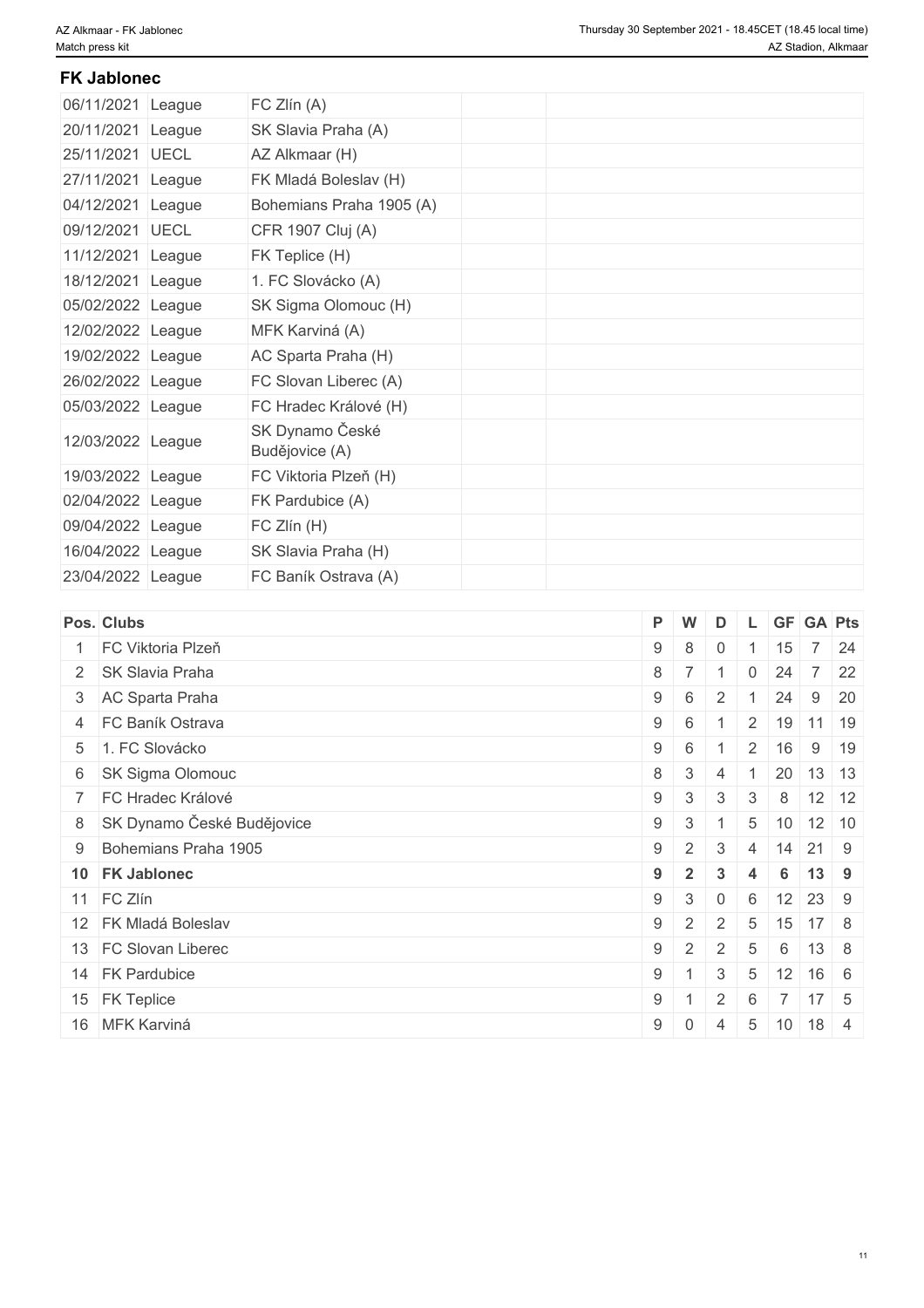## **FK Jablonec**

| 06/11/2021 League | FC Zlín (A)                       |
|-------------------|-----------------------------------|
| 20/11/2021 League | SK Slavia Praha (A)               |
| 25/11/2021 UECL   | AZ Alkmaar (H)                    |
| 27/11/2021 League | FK Mladá Boleslav (H)             |
| 04/12/2021 League | Bohemians Praha 1905 (A)          |
| 09/12/2021 UECL   | CFR 1907 Cluj (A)                 |
| 11/12/2021 League | FK Teplice (H)                    |
| 18/12/2021 League | 1. FC Slovácko (A)                |
| 05/02/2022 League | SK Sigma Olomouc (H)              |
| 12/02/2022 League | MFK Karviná (A)                   |
| 19/02/2022 League | AC Sparta Praha (H)               |
| 26/02/2022 League | FC Slovan Liberec (A)             |
| 05/03/2022 League | FC Hradec Králové (H)             |
| 12/03/2022 League | SK Dynamo České<br>Budějovice (A) |
| 19/03/2022 League | FC Viktoria Plzeň (H)             |
| 02/04/2022 League | FK Pardubice (A)                  |
| 09/04/2022 League | FC Zlín (H)                       |
| 16/04/2022 League | SK Slavia Praha (H)               |
| 23/04/2022 League | FC Baník Ostrava (A)              |

|   | Pos. Clubs                   | P W        |                | D              |                 |                                 | L GF GA Pts          |              |  |
|---|------------------------------|------------|----------------|----------------|-----------------|---------------------------------|----------------------|--------------|--|
| 1 | FC Viktoria Plzeň            | $9 \mid 8$ |                | $\mathbf 0$    |                 | 15                              |                      | 7 24         |  |
|   | 2 SK Slavia Praha            | $8 \mid 7$ |                |                | $\mathbf 0$     | 24                              |                      | $7 \quad 22$ |  |
|   | 3 AC Sparta Praha            | $9 \mid 6$ |                | 2              |                 | 24                              | 9                    | 20           |  |
|   | 4 FC Baník Ostrava           | $9 \mid 6$ |                |                |                 | $2 \mid 19 \mid$                | $11 \mid 19$         |              |  |
|   | 5 1. FC Slovácko             | $9 \mid 6$ |                |                |                 | $2 \mid 16$                     |                      | $9 \mid 19$  |  |
|   | 6 SK Sigma Olomouc           | $8 \mid 3$ |                | 4              |                 | 20                              | $13 \mid 13$         |              |  |
|   | 7 FC Hradec Králové          | 9          | $\vert$ 3      | 3              | 3               | 8                               |                      | $12 \mid 12$ |  |
|   | 8 SK Dynamo České Budějovice | $9 \mid 3$ |                |                | 5               |                                 | $10 \mid 12 \mid 10$ |              |  |
|   | 9 Bohemians Praha 1905       | $9 \mid 2$ |                | 3              | $\overline{4}$  | $+14$ <sup><math>+</math></sup> | 21 9                 |              |  |
|   | 10 FK Jablonec               | $9 \mid 2$ |                | 3              | $\overline{4}$  | 6                               | $13$ 9               |              |  |
|   | 11 FC Zlín                   | 9          | $\vert$ 3      | $\overline{0}$ | 6               |                                 | $12 \mid 23 \mid 9$  |              |  |
|   | 12 FK Mladá Boleslav         | $9 \mid 2$ |                | 2              | 5               | 15                              | $17 \quad 8$         |              |  |
|   | 13 FC Slovan Liberec         | $9 \mid 2$ |                | 2              | -5              | 6                               | $13 \quad 8$         |              |  |
|   | 14 FK Pardubice              | $9 \mid 1$ |                | 3              | 5               | 12                              | $16 \quad 6$         |              |  |
|   | 15 FK Teplice                | 9          |                | 2              | 6               |                                 | $17 \quad 5$         |              |  |
|   | 16 MFK Karviná               | 9          | $\overline{0}$ | 4              | $5\overline{)}$ | 10                              | 18 4                 |              |  |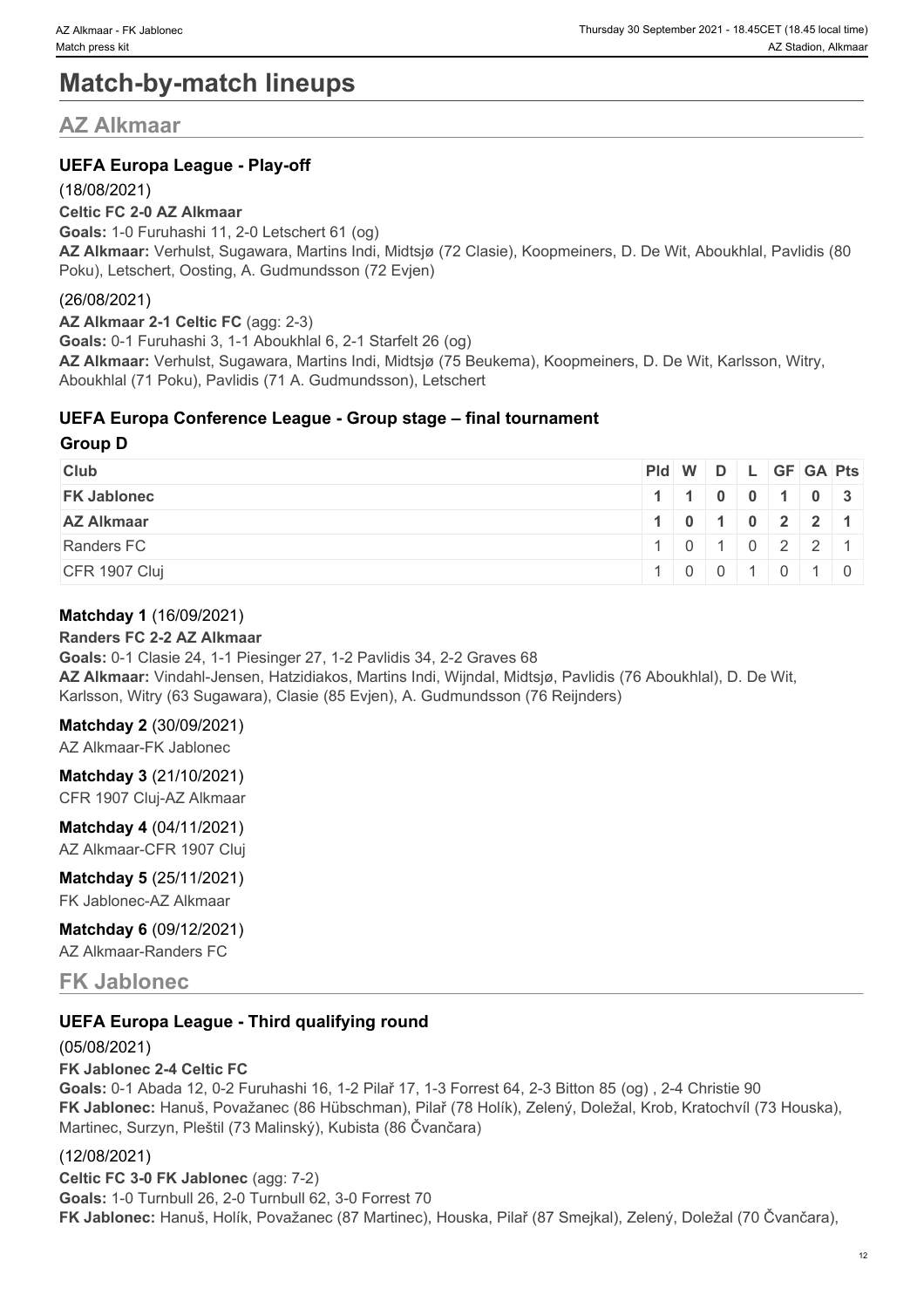# **Match-by-match lineups**

# **AZ Alkmaar**

## **UEFA Europa League - Play-off**

#### (18/08/2021)

#### **Celtic FC 2-0 AZ Alkmaar**

**Goals:** 1-0 Furuhashi 11, 2-0 Letschert 61 (og) **AZ Alkmaar:** Verhulst, Sugawara, Martins Indi, Midtsjø (72 Clasie), Koopmeiners, D. De Wit, Aboukhlal, Pavlidis (80 Poku), Letschert, Oosting, A. Gudmundsson (72 Evjen)

### (26/08/2021)

**AZ Alkmaar 2-1 Celtic FC** (agg: 2-3) **Goals:** 0-1 Furuhashi 3, 1-1 Aboukhlal 6, 2-1 Starfelt 26 (og) **AZ Alkmaar:** Verhulst, Sugawara, Martins Indi, Midtsjø (75 Beukema), Koopmeiners, D. De Wit, Karlsson, Witry, Aboukhlal (71 Poku), Pavlidis (71 A. Gudmundsson), Letschert

#### **UEFA Europa Conference League - Group stage – final tournament**

#### **Group D**

| <b>Club</b>        | $ PId $ W $ D $ L $ GF GA Pts $ |  |  |                                               |                |
|--------------------|---------------------------------|--|--|-----------------------------------------------|----------------|
| <b>FK Jablonec</b> |                                 |  |  | $1 \mid 1 \mid 0 \mid 0 \mid 1 \mid 0 \mid 3$ |                |
| <b>AZ Alkmaar</b>  |                                 |  |  | 1 0 1 0 2 2 1                                 |                |
| Randers FC         |                                 |  |  | $1 \ 0 \ 1 \ 0 \ 2 \ 2 \ 1$                   |                |
| CFR 1907 Cluj      |                                 |  |  |                                               | $\overline{0}$ |

#### **Matchday 1** (16/09/2021)

#### **Randers FC 2-2 AZ Alkmaar**

**Goals:** 0-1 Clasie 24, 1-1 Piesinger 27, 1-2 Pavlidis 34, 2-2 Graves 68 **AZ Alkmaar:** Vindahl-Jensen, Hatzidiakos, Martins Indi, Wijndal, Midtsjø, Pavlidis (76 Aboukhlal), D. De Wit, Karlsson, Witry (63 Sugawara), Clasie (85 Evjen), A. Gudmundsson (76 Reijnders)

#### **Matchday 2** (30/09/2021)

AZ Alkmaar-FK Jablonec

**Matchday 3** (21/10/2021) CFR 1907 Cluj-AZ Alkmaar

**Matchday 4** (04/11/2021) AZ Alkmaar-CFR 1907 Cluj

# **Matchday 5** (25/11/2021)

FK Jablonec-AZ Alkmaar

**Matchday 6** (09/12/2021)

AZ Alkmaar-Randers FC

## **FK Jablonec**

### **UEFA Europa League - Third qualifying round**

#### (05/08/2021)

#### **FK Jablonec 2-4 Celtic FC**

**Goals:** 0-1 Abada 12, 0-2 Furuhashi 16, 1-2 Pilař 17, 1-3 Forrest 64, 2-3 Bitton 85 (og) , 2-4 Christie 90 **FK Jablonec:** Hanuš, Považanec (86 Hübschman), Pilař (78 Holík), Zelený, Doležal, Krob, Kratochvíl (73 Houska), Martinec, Surzyn, Pleštil (73 Malinský), Kubista (86 Čvančara)

#### (12/08/2021)

**Celtic FC 3-0 FK Jablonec** (agg: 7-2) **Goals:** 1-0 Turnbull 26, 2-0 Turnbull 62, 3-0 Forrest 70 **FK Jablonec:** Hanuš, Holík, Považanec (87 Martinec), Houska, Pilař (87 Smejkal), Zelený, Doležal (70 Čvančara),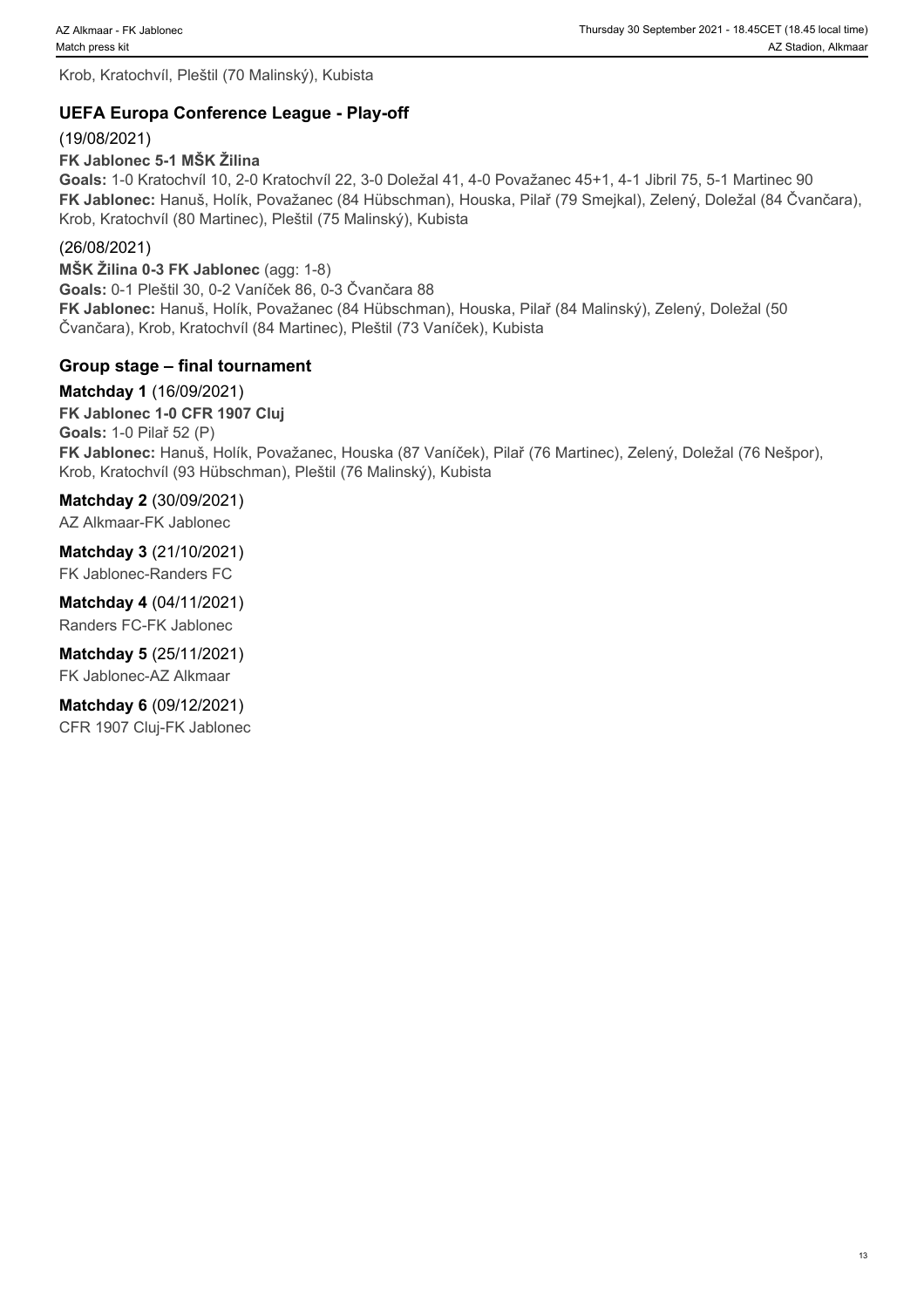Krob, Kratochvíl, Pleštil (70 Malinský), Kubista

## **UEFA Europa Conference League - Play-off**

(19/08/2021)

**FK Jablonec 5-1 MŠK Žilina**

**Goals:** 1-0 Kratochvíl 10, 2-0 Kratochvíl 22, 3-0 Doležal 41, 4-0 Považanec 45+1, 4-1 Jibril 75, 5-1 Martinec 90 **FK Jablonec:** Hanuš, Holík, Považanec (84 Hübschman), Houska, Pilař (79 Smejkal), Zelený, Doležal (84 Čvančara), Krob, Kratochvíl (80 Martinec), Pleštil (75 Malinský), Kubista

### (26/08/2021)

**MŠK Žilina 0-3 FK Jablonec** (agg: 1-8) **Goals:** 0-1 Pleštil 30, 0-2 Vaníček 86, 0-3 Čvančara 88 **FK Jablonec:** Hanuš, Holík, Považanec (84 Hübschman), Houska, Pilař (84 Malinský), Zelený, Doležal (50 Čvančara), Krob, Kratochvíl (84 Martinec), Pleštil (73 Vaníček), Kubista

## **Group stage – final tournament**

**Matchday 1** (16/09/2021) **FK Jablonec 1-0 CFR 1907 Cluj Goals:** 1-0 Pilař 52 (P) **FK Jablonec:** Hanuš, Holík, Považanec, Houska (87 Vaníček), Pilař (76 Martinec), Zelený, Doležal (76 Nešpor), Krob, Kratochvíl (93 Hübschman), Pleštil (76 Malinský), Kubista

### **Matchday 2** (30/09/2021)

AZ Alkmaar-FK Jablonec

**Matchday 3** (21/10/2021) FK Jablonec-Randers FC

**Matchday 4** (04/11/2021) Randers FC-FK Jablonec

**Matchday 5** (25/11/2021) FK Jablonec-AZ Alkmaar

**Matchday 6** (09/12/2021) CFR 1907 Cluj-FK Jablonec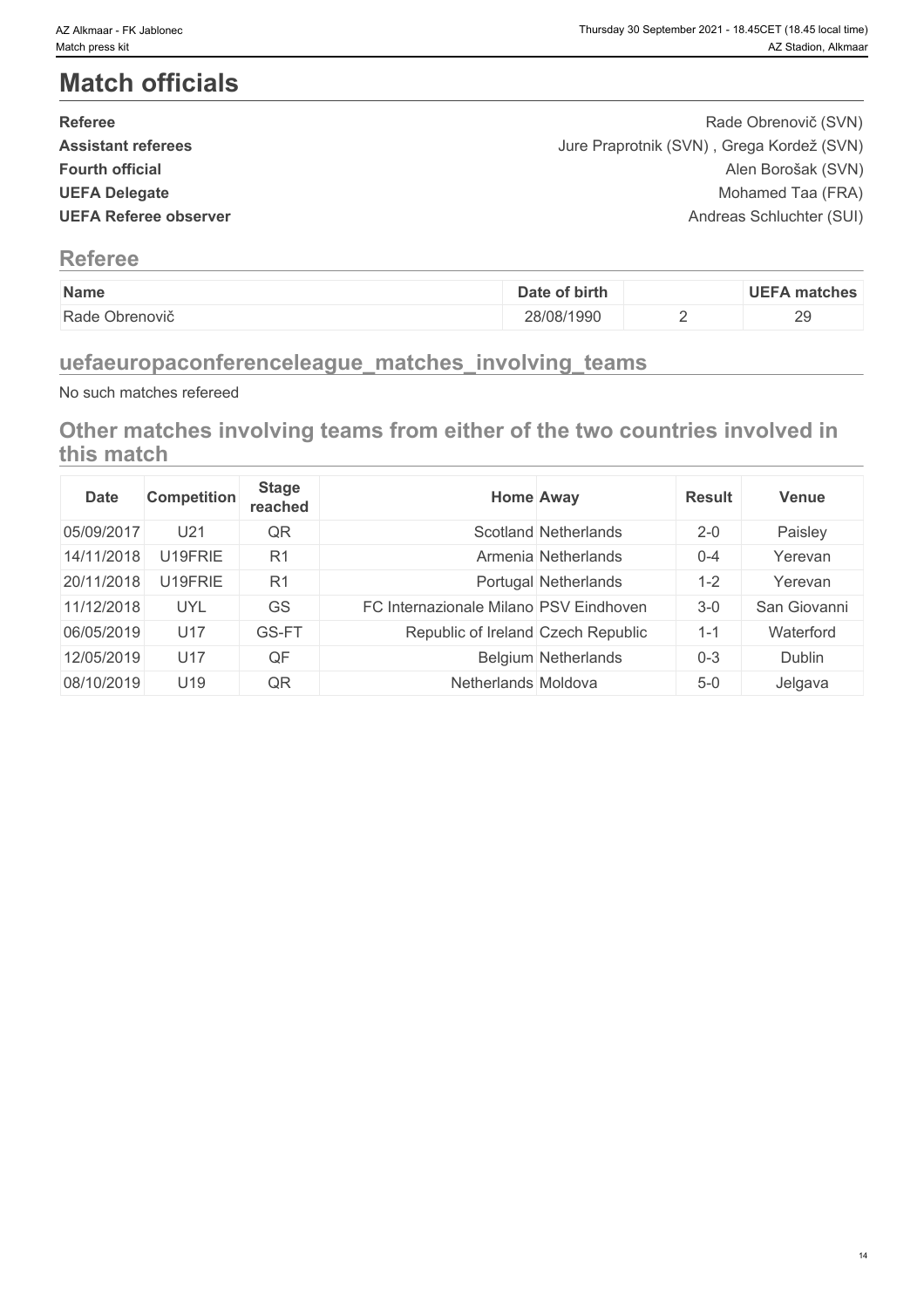# **Match officials**

| <b>Referee</b>               | Rade Obrenovič (SVN)                      |  |
|------------------------------|-------------------------------------------|--|
| <b>Assistant referees</b>    | Jure Praprotnik (SVN), Grega Kordež (SVN) |  |
| <b>Fourth official</b>       | Alen Borošak (SVN)                        |  |
| <b>UEFA Delegate</b>         | Mohamed Taa (FRA)                         |  |
| <b>UEFA Referee observer</b> | Andreas Schluchter (SUI)                  |  |
|                              |                                           |  |

# **Referee**

| Name              | of birth<br>Date | <b>UEFA matches</b>            |
|-------------------|------------------|--------------------------------|
| Rade<br>Obrenovič | 28/08/1990       | 20<br>$\overline{\phantom{0}}$ |

# **uefaeuropaconferenceleague\_matches\_involving\_teams**

No such matches refereed

**Other matches involving teams from either of the two countries involved in this match**

| <b>Date</b> | <b>Competition</b> | <b>Stage</b><br>reached | <b>Home Away</b>                       |                            | <b>Result</b> | <b>Venue</b> |
|-------------|--------------------|-------------------------|----------------------------------------|----------------------------|---------------|--------------|
| 05/09/2017  | U <sub>21</sub>    | QR                      |                                        | Scotland Netherlands       | $2 - 0$       | Paisley      |
| 14/11/2018  | U19FRIE            | R <sub>1</sub>          |                                        | Armenia Netherlands        | $0 - 4$       | Yerevan      |
| 20/11/2018  | U19FRIE            | R <sub>1</sub>          |                                        | Portugal Netherlands       | $1 - 2$       | Yerevan      |
| 11/12/2018  | <b>UYL</b>         | GS                      | FC Internazionale Milano PSV Eindhoven |                            | $3-0$         | San Giovanni |
| 06/05/2019  | U17                | GS-FT                   | Republic of Ireland Czech Republic     |                            | $1 - 1$       | Waterford    |
| 12/05/2019  | U17                | QF                      |                                        | <b>Belgium Netherlands</b> | $0 - 3$       | Dublin       |
| 08/10/2019  | U19                | QR                      | Netherlands Moldova                    |                            | $5-0$         | Jelgava      |